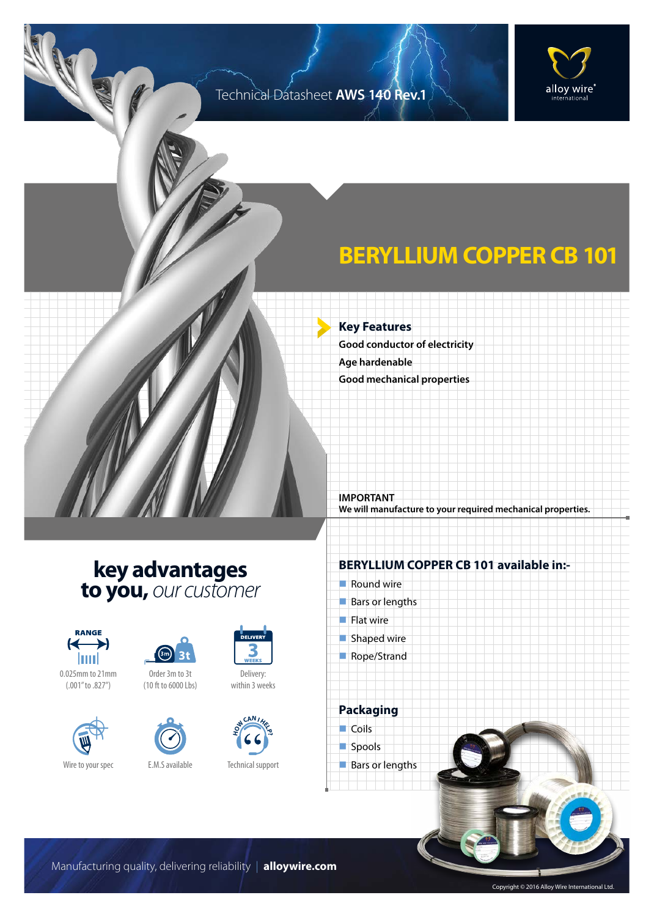#### Technical Datasheet **AWS 140 Rev.1**





# **BERYLLIUM COPPER CB 101**

**Key Features Good conductor of electricity Age hardenable Good mechanical properties**

**IMPORTANT We will manufacture to your required mechanical properties.**

### **key advantages to you,** *our customer*









Order 3m to 3t (10 ft to 6000 Lbs)



Delivery: within 3 weeks



**DELIVER** 

Technical support

#### **BERYLLIUM COPPER CB 101 available in:-**

 $\blacksquare$  Round wire  $\blacksquare$  Bars or lengths  $\blacksquare$  Flat wire  $\blacksquare$  Shaped wire Rope/Strand



spools

**Bars or lengths** 

Manufacturing quality, delivering reliability | **alloywire.com**